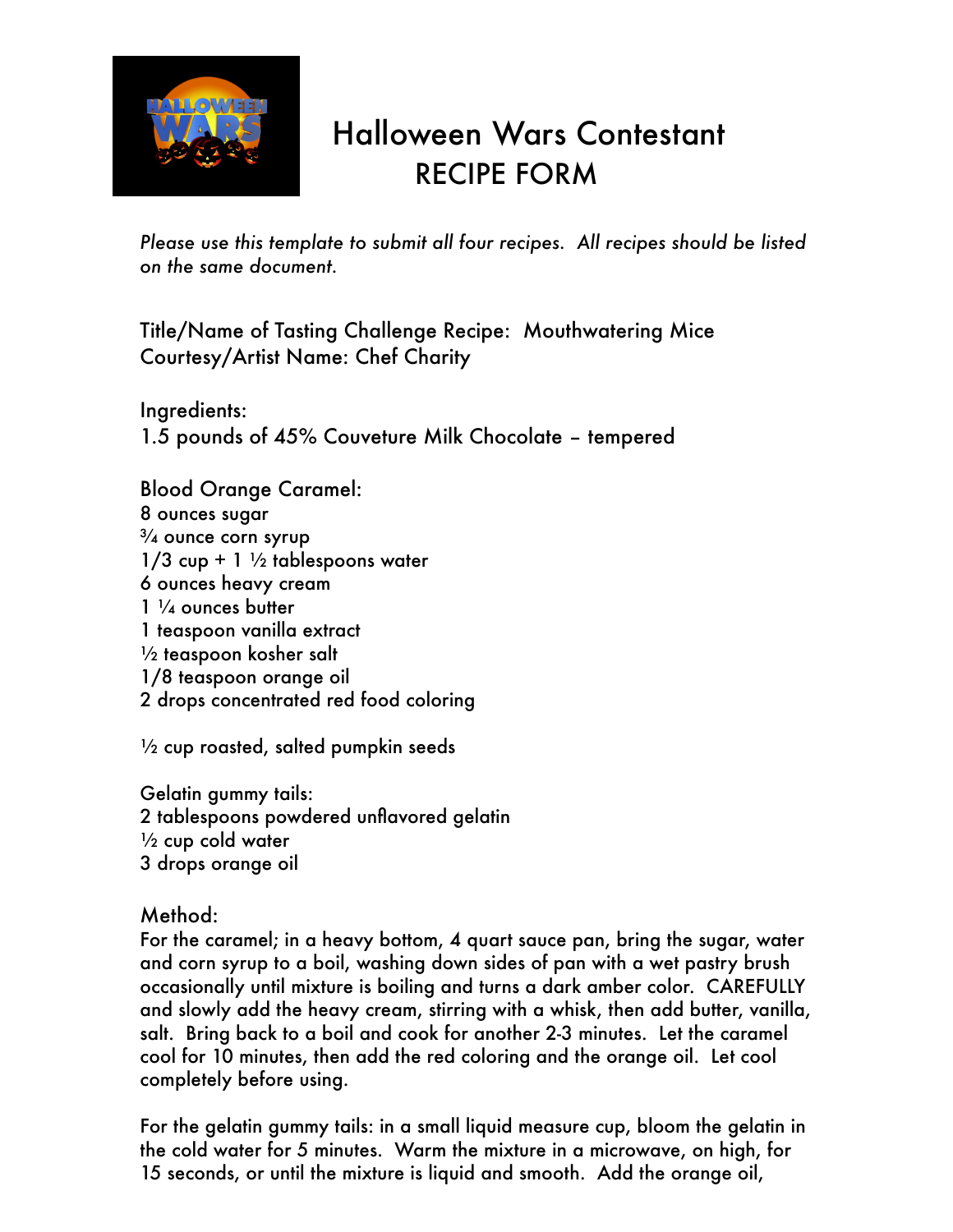

## Halloween Wars Contestant RECIPE FORM

*Please use this template to submit all four recipes. All recipes should be listed on the same document.*

Title/Name of Tasting Challenge Recipe: Mouthwatering Mice Courtesy/Artist Name: Chef Charity

Ingredients: 1.5 pounds of 45% Couveture Milk Chocolate – tempered

Blood Orange Caramel: 8 ounces sugar  $\frac{3}{4}$  ounce corn syrup  $1/3$  cup + 1  $\frac{1}{2}$  tablespoons water 6 ounces heavy cream 1 ¼ ounces butter 1 teaspoon vanilla extract  $\frac{1}{2}$  teaspoon kosher salt 1/8 teaspoon orange oil 2 drops concentrated red food coloring

 $\frac{1}{2}$  cup roasted, salted pumpkin seeds

Gelatin gummy tails: 2 tablespoons powdered unflavored gelatin  $\frac{1}{2}$  cup cold water 3 drops orange oil

Method:

For the caramel; in a heavy bottom, 4 quart sauce pan, bring the sugar, water and corn syrup to a boil, washing down sides of pan with a wet pastry brush occasionally until mixture is boiling and turns a dark amber color. CAREFULLY and slowly add the heavy cream, stirring with a whisk, then add butter, vanilla, salt. Bring back to a boil and cook for another 2-3 minutes. Let the caramel cool for 10 minutes, then add the red coloring and the orange oil. Let cool completely before using.

For the gelatin gummy tails: in a small liquid measure cup, bloom the gelatin in the cold water for 5 minutes. Warm the mixture in a microwave, on high, for 15 seconds, or until the mixture is liquid and smooth. Add the orange oil,